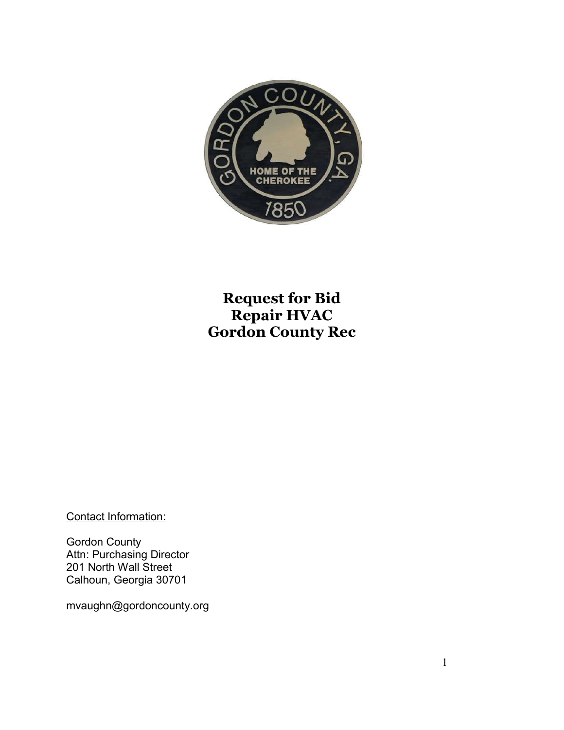

## **Request for Bid Repair HVAC Gordon County Rec**

Contact Information:

Gordon County Attn: Purchasing Director 201 North Wall Street Calhoun, Georgia 30701

mvaughn@gordoncounty.org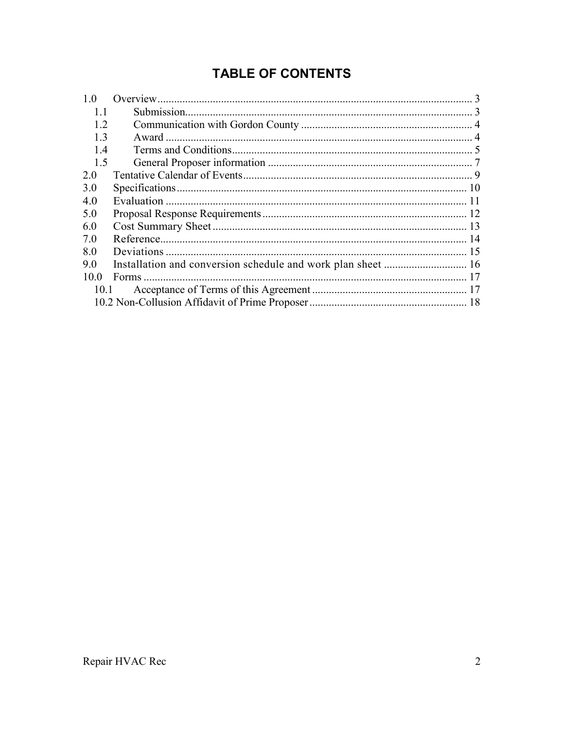## **TABLE OF CONTENTS**

| 1.0  |  |  |  |
|------|--|--|--|
| 11   |  |  |  |
| 12   |  |  |  |
| 13   |  |  |  |
| 14   |  |  |  |
| 1.5  |  |  |  |
| 2 0  |  |  |  |
| 3.0  |  |  |  |
| 4.0  |  |  |  |
| 5.0  |  |  |  |
| 6.0  |  |  |  |
| 7.0  |  |  |  |
| 8.0  |  |  |  |
| 9.0  |  |  |  |
| 100  |  |  |  |
| 10.1 |  |  |  |
|      |  |  |  |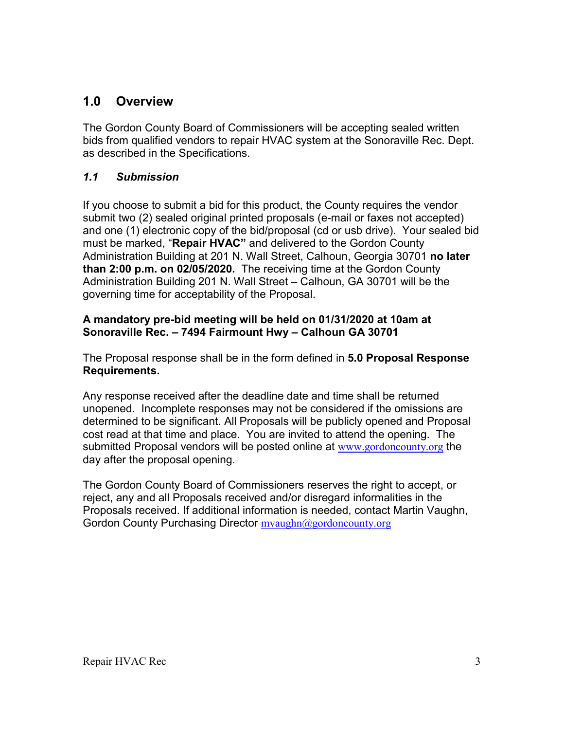## **1.0 Overview**

The Gordon County Board of Commissioners will be accepting sealed written bids from qualified vendors to repair HVAC system at the Sonoraville Rec. Dept. as described in the Specifications.

## *1.1 Submission*

If you choose to submit a bid for this product, the County requires the vendor submit two (2) sealed original printed proposals (e-mail or faxes not accepted) and one (1) electronic copy of the bid/proposal (cd or usb drive). Your sealed bid must be marked, "**Repair HVAC"** and delivered to the Gordon County Administration Building at 201 N. Wall Street, Calhoun, Georgia 30701 **no later than 2:00 p.m. on 02/05/2020.** The receiving time at the Gordon County Administration Building 201 N. Wall Street – Calhoun, GA 30701 will be the governing time for acceptability of the Proposal.

#### **A mandatory pre-bid meeting will be held on 01/31/2020 at 10am at Sonoraville Rec. – 7494 Fairmount Hwy – Calhoun GA 30701**

The Proposal response shall be in the form defined in **5.0 Proposal Response Requirements.**

Any response received after the deadline date and time shall be returned unopened. Incomplete responses may not be considered if the omissions are determined to be significant. All Proposals will be publicly opened and Proposal cost read at that time and place. You are invited to attend the opening. The submitted Proposal vendors will be posted online at www.gordoncounty.org the day after the proposal opening.

The Gordon County Board of Commissioners reserves the right to accept, or reject, any and all Proposals received and/or disregard informalities in the Proposals received. If additional information is needed, contact Martin Vaughn, Gordon County Purchasing Director myaughn@gordoncounty.org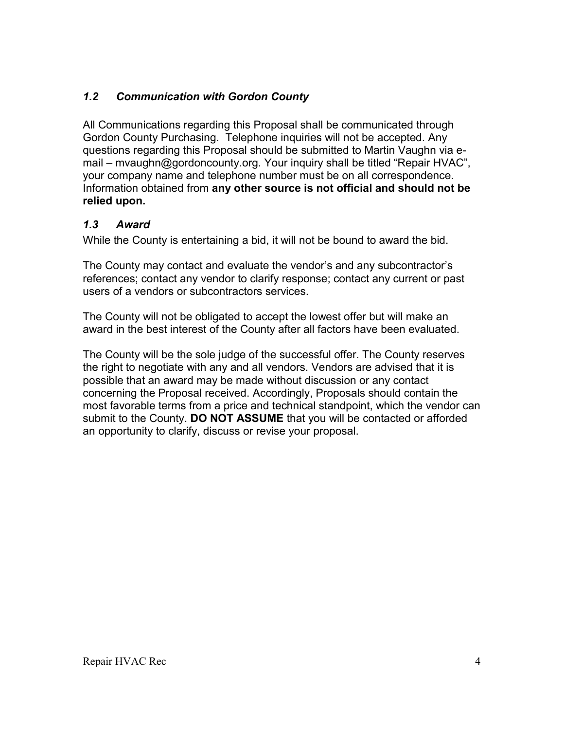## *1.2 Communication with Gordon County*

All Communications regarding this Proposal shall be communicated through Gordon County Purchasing. Telephone inquiries will not be accepted. Any questions regarding this Proposal should be submitted to Martin Vaughn via email – mvaughn@gordoncounty.org. Your inquiry shall be titled "Repair HVAC", your company name and telephone number must be on all correspondence. Information obtained from **any other source is not official and should not be relied upon.**

## *1.3 Award*

While the County is entertaining a bid, it will not be bound to award the bid.

The County may contact and evaluate the vendor's and any subcontractor's references; contact any vendor to clarify response; contact any current or past users of a vendors or subcontractors services.

The County will not be obligated to accept the lowest offer but will make an award in the best interest of the County after all factors have been evaluated.

The County will be the sole judge of the successful offer. The County reserves the right to negotiate with any and all vendors. Vendors are advised that it is possible that an award may be made without discussion or any contact concerning the Proposal received. Accordingly, Proposals should contain the most favorable terms from a price and technical standpoint, which the vendor can submit to the County. **DO NOT ASSUME** that you will be contacted or afforded an opportunity to clarify, discuss or revise your proposal.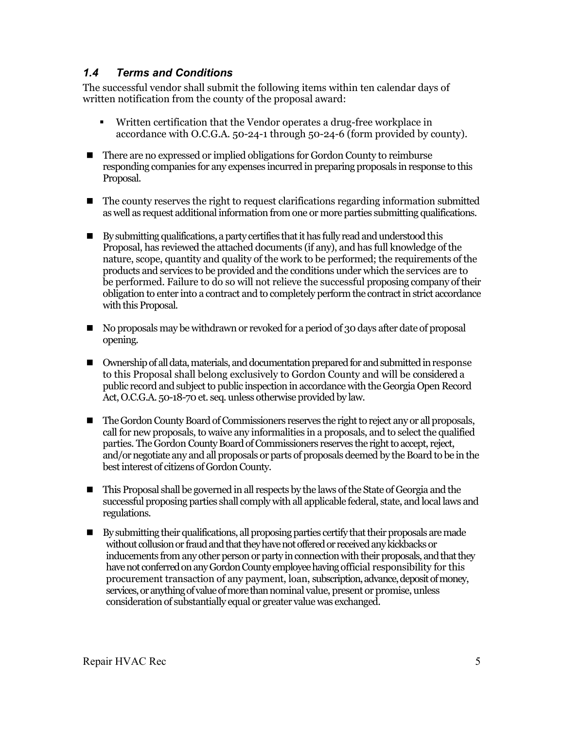## *1.4 Terms and Conditions*

The successful vendor shall submit the following items within ten calendar days of written notification from the county of the proposal award:

- Written certification that the Vendor operates a drug-free workplace in accordance with O.C.G.A. 50-24-1 through 50-24-6 (form provided by county).
- There are no expressed or implied obligations for Gordon County to reimburse responding companies for any expenses incurred in preparing proposals in response to this Proposal.
- The county reserves the right to request clarifications regarding information submitted as well as request additional information from one or more parties submitting qualifications.
- By submitting qualifications, a party certifies that it has fully read and understood this Proposal, has reviewed the attached documents (if any), and has full knowledge of the nature, scope, quantity and quality of the work to be performed; the requirements of the products and services to be provided and the conditions under which the services are to be performed. Failure to do so will not relieve the successful proposing company of their obligation to enter into a contract and to completely perform the contract in strict accordance with this Proposal.
- No proposals may be withdrawn or revoked for a period of 30 days after date of proposal opening.
- Ownership of all data, materials, and documentation prepared for and submitted in response to this Proposal shall belong exclusively to Gordon County and will be considered a public record and subject to public inspection in accordance with the Georgia Open Record Act, O.C.G.A. 50-18-70 et. seq. unless otherwise provided by law.
- The Gordon County Board of Commissioners reserves the right to reject any or all proposals, call for new proposals, to waive any informalities in a proposals, and to select the qualified parties. The Gordon County Board of Commissioners reserves the right to accept, reject, and/or negotiate any and all proposals or parts of proposals deemed by the Board to be in the best interest of citizens of Gordon County.
- This Proposal shall be governed in all respects by the laws of the State of Georgia and the successful proposing parties shall comply with all applicable federal, state, and local laws and regulations.
- By submitting their qualifications, all proposing parties certify that their proposals are made without collusion or fraud and that they have not offered or received any kickbacks or inducements from any other person or party in connection with their proposals, and that they have not conferred on any Gordon County employee having official responsibility for this procurement transaction of any payment, loan, subscription, advance, deposit of money, services, or anything of value of more than nominal value, present or promise, unless consideration of substantially equal or greater value was exchanged.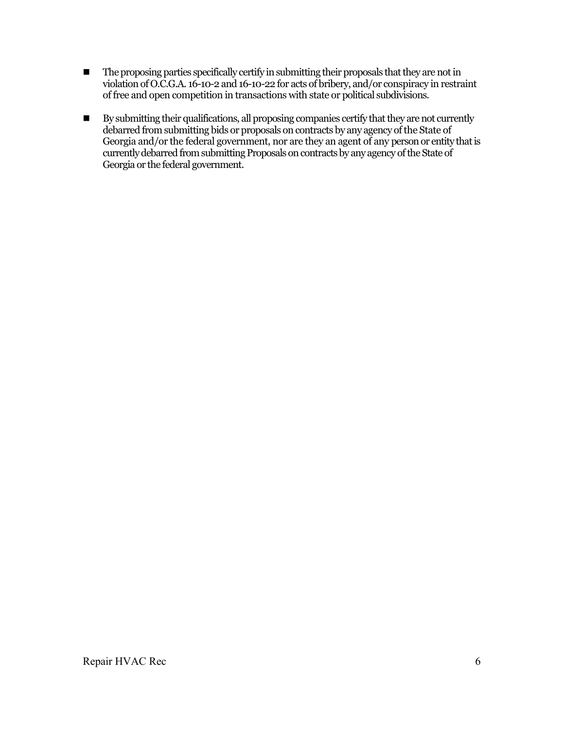- $\blacksquare$  The proposing parties specifically certify in submitting their proposals that they are not in violation of O.C.G.A. 16-10-2 and 16-10-22 for acts of bribery, and/or conspiracy in restraint of free and open competition in transactions with state or political subdivisions.
- By submitting their qualifications, all proposing companies certify that they are not currently debarred from submitting bids or proposals on contracts by any agency of the State of Georgia and/or the federal government, nor are they an agent of any person or entity that is currently debarred from submitting Proposals on contracts by any agency of the State of Georgia or the federal government.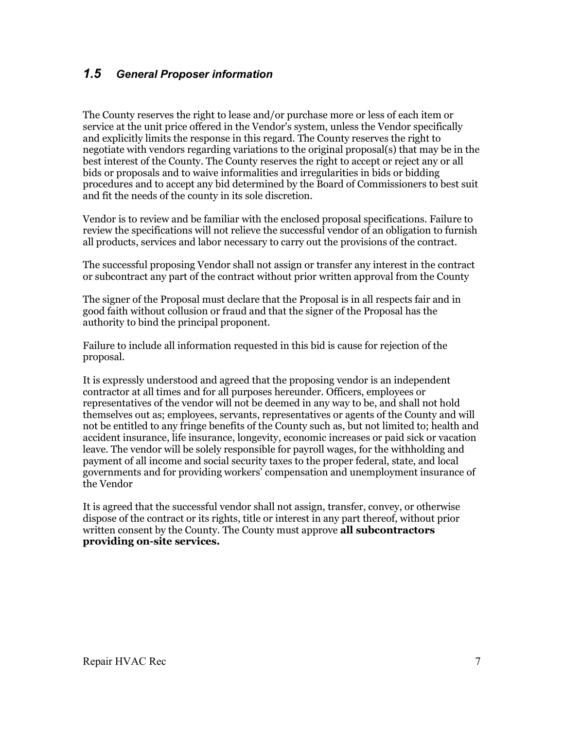## *1.5 General Proposer information*

The County reserves the right to lease and/or purchase more or less of each item or service at the unit price offered in the Vendor's system, unless the Vendor specifically and explicitly limits the response in this regard. The County reserves the right to negotiate with vendors regarding variations to the original proposal(s) that may be in the best interest of the County. The County reserves the right to accept or reject any or all bids or proposals and to waive informalities and irregularities in bids or bidding procedures and to accept any bid determined by the Board of Commissioners to best suit and fit the needs of the county in its sole discretion.

Vendor is to review and be familiar with the enclosed proposal specifications. Failure to review the specifications will not relieve the successful vendor of an obligation to furnish all products, services and labor necessary to carry out the provisions of the contract.

The successful proposing Vendor shall not assign or transfer any interest in the contract or subcontract any part of the contract without prior written approval from the County

The signer of the Proposal must declare that the Proposal is in all respects fair and in good faith without collusion or fraud and that the signer of the Proposal has the authority to bind the principal proponent.

Failure to include all information requested in this bid is cause for rejection of the proposal.

It is expressly understood and agreed that the proposing vendor is an independent contractor at all times and for all purposes hereunder. Officers, employees or representatives of the vendor will not be deemed in any way to be, and shall not hold themselves out as; employees, servants, representatives or agents of the County and will not be entitled to any fringe benefits of the County such as, but not limited to; health and accident insurance, life insurance, longevity, economic increases or paid sick or vacation leave. The vendor will be solely responsible for payroll wages, for the withholding and payment of all income and social security taxes to the proper federal, state, and local governments and for providing workers' compensation and unemployment insurance of the Vendor

It is agreed that the successful vendor shall not assign, transfer, convey, or otherwise dispose of the contract or its rights, title or interest in any part thereof, without prior written consent by the County. The County must approve **all subcontractors providing on-site services.**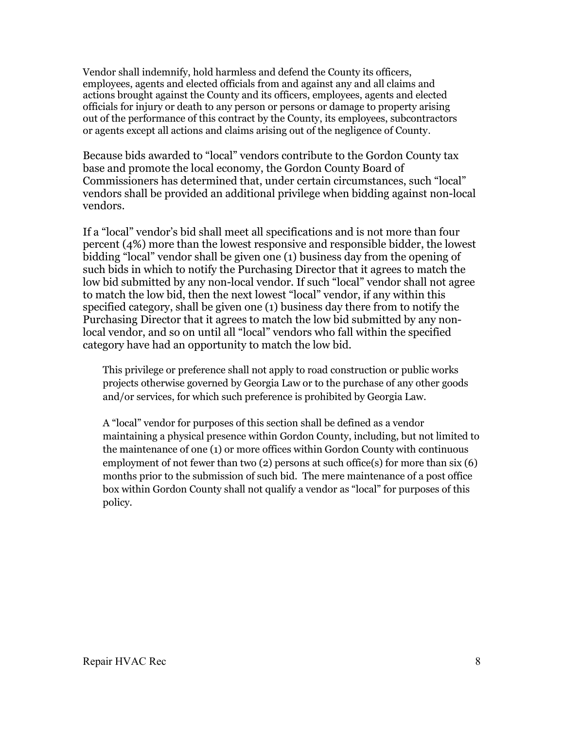Vendor shall indemnify, hold harmless and defend the County its officers, employees, agents and elected officials from and against any and all claims and actions brought against the County and its officers, employees, agents and elected officials for injury or death to any person or persons or damage to property arising out of the performance of this contract by the County, its employees, subcontractors or agents except all actions and claims arising out of the negligence of County.

Because bids awarded to "local" vendors contribute to the Gordon County tax base and promote the local economy, the Gordon County Board of Commissioners has determined that, under certain circumstances, such "local" vendors shall be provided an additional privilege when bidding against non-local vendors.

If a "local" vendor's bid shall meet all specifications and is not more than four percent (4%) more than the lowest responsive and responsible bidder, the lowest bidding "local" vendor shall be given one (1) business day from the opening of such bids in which to notify the Purchasing Director that it agrees to match the low bid submitted by any non-local vendor. If such "local" vendor shall not agree to match the low bid, then the next lowest "local" vendor, if any within this specified category, shall be given one (1) business day there from to notify the Purchasing Director that it agrees to match the low bid submitted by any nonlocal vendor, and so on until all "local" vendors who fall within the specified category have had an opportunity to match the low bid.

This privilege or preference shall not apply to road construction or public works projects otherwise governed by Georgia Law or to the purchase of any other goods and/or services, for which such preference is prohibited by Georgia Law.

A "local" vendor for purposes of this section shall be defined as a vendor maintaining a physical presence within Gordon County, including, but not limited to the maintenance of one (1) or more offices within Gordon County with continuous employment of not fewer than two (2) persons at such office(s) for more than six (6) months prior to the submission of such bid. The mere maintenance of a post office box within Gordon County shall not qualify a vendor as "local" for purposes of this policy.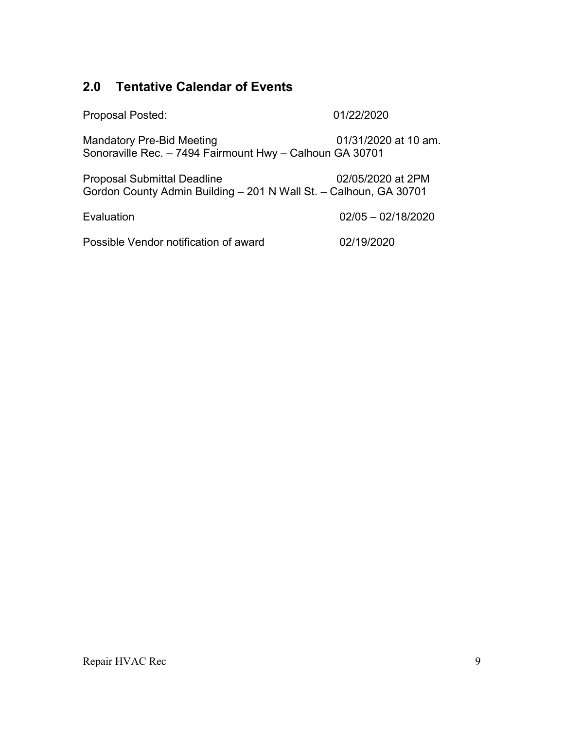## **2.0 Tentative Calendar of Events**

Proposal Posted: 01/22/2020

Mandatory Pre-Bid Meeting **01/31/2020** at 10 am. Sonoraville Rec. – 7494 Fairmount Hwy – Calhoun GA 30701

Proposal Submittal Deadline 02/05/2020 at 2PM Gordon County Admin Building – 201 N Wall St. – Calhoun, GA 30701

Evaluation 02/05 – 02/18/2020

Possible Vendor notification of award 02/19/2020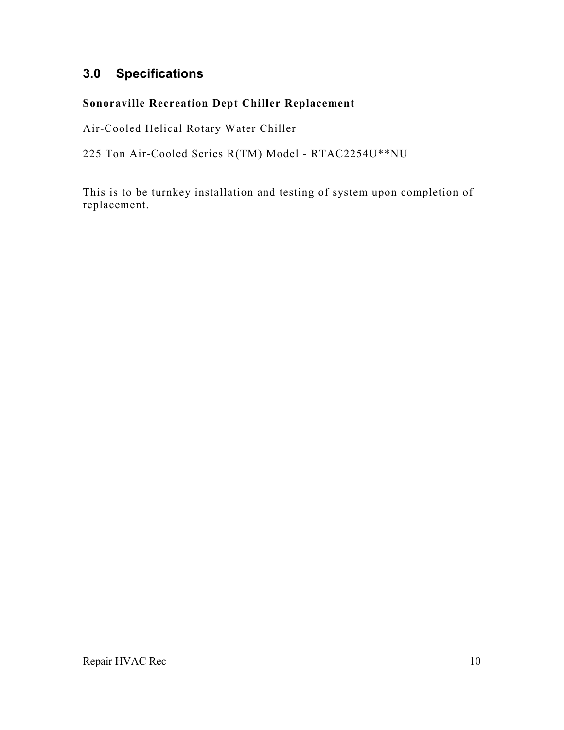## **3.0 Specifications**

## **Sonoraville Recreation Dept Chiller Replacement**

Air-Cooled Helical Rotary Water Chiller

225 Ton Air-Cooled Series R(TM) Model - RTAC2254U\*\*NU

This is to be turnkey installation and testing of system upon completion of replacement.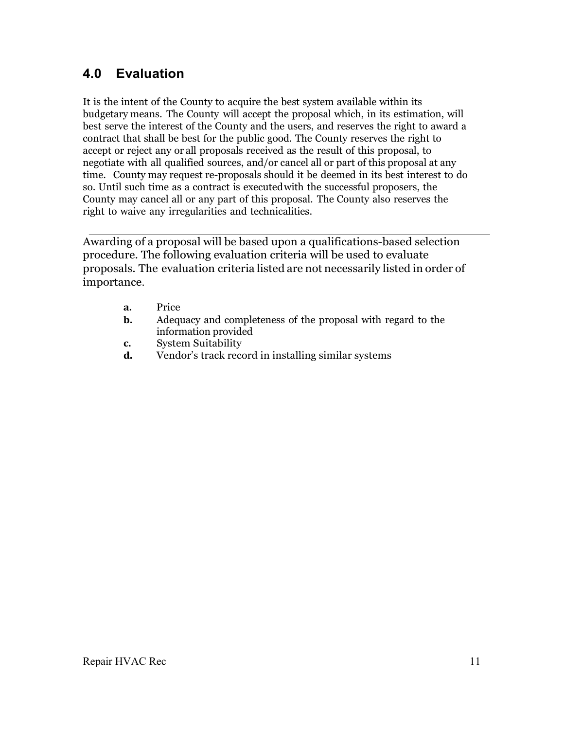## **4.0 Evaluation**

It is the intent of the County to acquire the best system available within its budgetary means. The County will accept the proposal which, in its estimation, will best serve the interest of the County and the users, and reserves the right to award a contract that shall be best for the public good. The County reserves the right to accept or reject any or all proposals received as the result of this proposal, to negotiate with all qualified sources, and/or cancel all or part of this proposal at any time. County may request re-proposals should it be deemed in its best interest to do so. Until such time as a contract is executed with the successful proposers, the County may cancel all or any part of this proposal. The County also reserves the right to waive any irregularities and technicalities.

Awarding of a proposal will be based upon a qualifications-based selection procedure. The following evaluation criteria will be used to evaluate proposals. The evaluation criteria listed are not necessarily listed in order of importance.

- **a.** Price
- **b.** Adequacy and completeness of the proposal with regard to the information provided
- **c.** System Suitability
- **d.** Vendor's track record in installing similar systems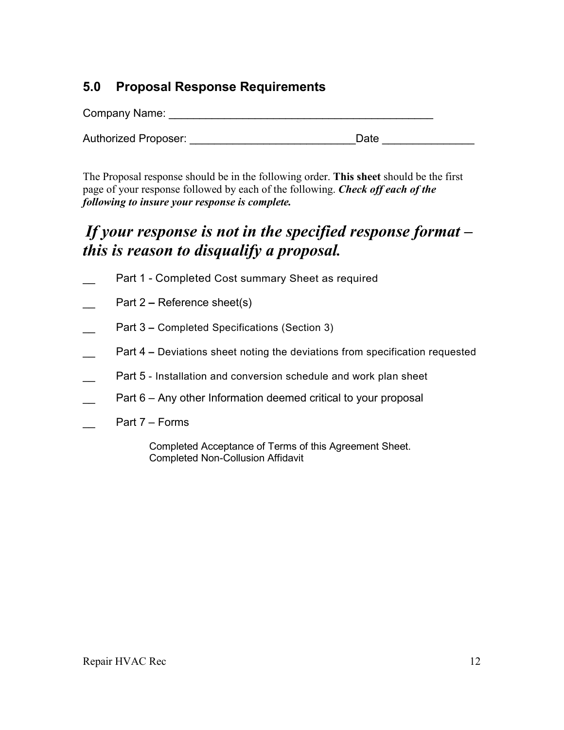## **5.0 Proposal Response Requirements**

| Company Name:               |      |  |  |  |  |  |
|-----------------------------|------|--|--|--|--|--|
| <b>Authorized Proposer:</b> | Date |  |  |  |  |  |

The Proposal response should be in the following order. **This sheet** should be the first page of your response followed by each of the following. *Check off each of the following to insure your response is complete.*

# *If your response is not in the specified response format – this is reason to disqualify a proposal.*

- Part 1 Completed Cost summary Sheet as required
- Part 2 Reference sheet(s)
- Part 3 Completed Specifications (Section 3)
- Part 4 Deviations sheet noting the deviations from specification requested
- Part 5 Installation and conversion schedule and work plan sheet
- Part 6 Any other Information deemed critical to your proposal
- Part 7 Forms

Completed Acceptance of Terms of this Agreement Sheet. Completed Non-Collusion Affidavit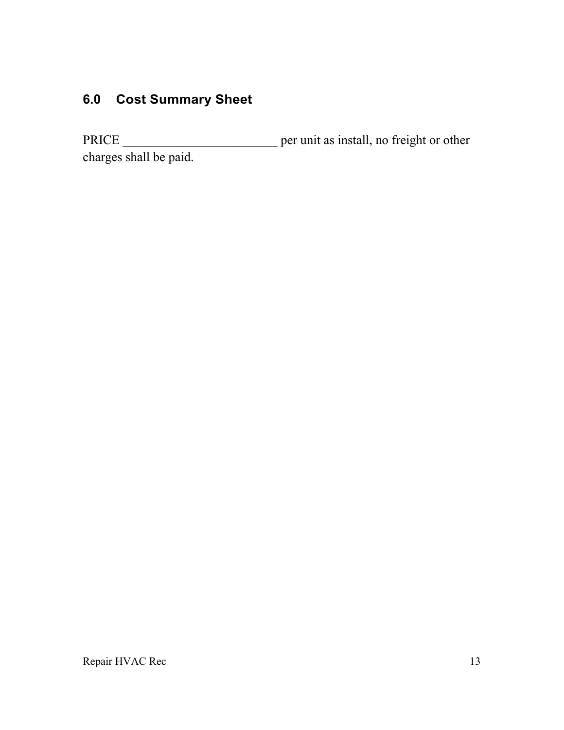# **6.0 Cost Summary Sheet**

PRICE \_\_\_\_\_\_\_\_\_\_\_\_\_\_\_\_\_\_\_\_\_\_\_\_ per unit as install, no freight or other charges shall be paid.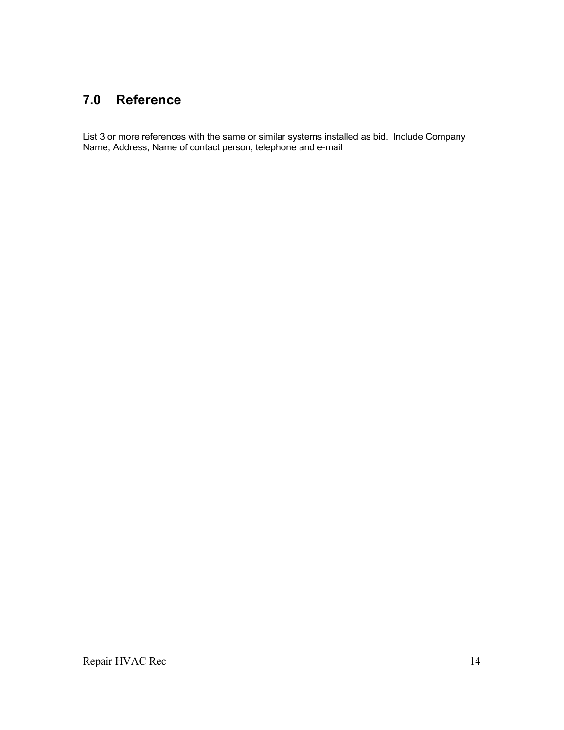## **7.0 Reference**

List 3 or more references with the same or similar systems installed as bid. Include Company Name, Address, Name of contact person, telephone and e-mail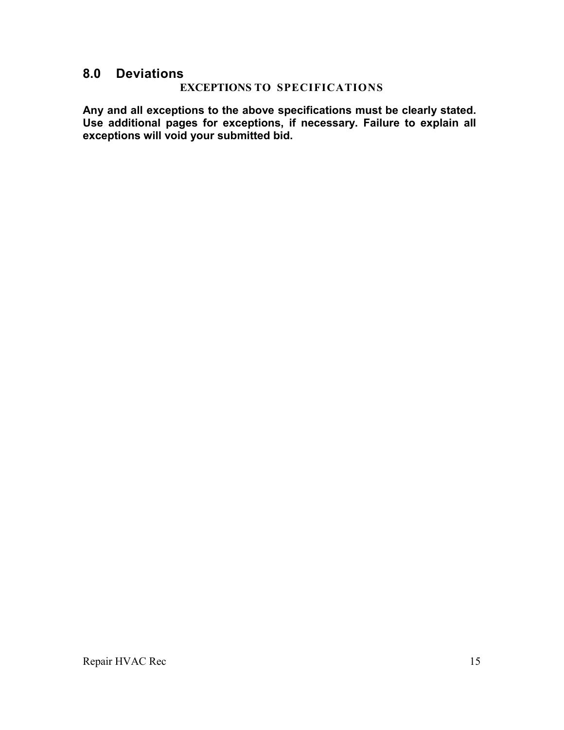## **8.0 Deviations**

#### **EXCEPTIONS TO SPECIFICATIONS**

**Any and all exceptions to the above specifications must be clearly stated. Use additional pages for exceptions, if necessary. Failure to explain all exceptions will void your submitted bid.**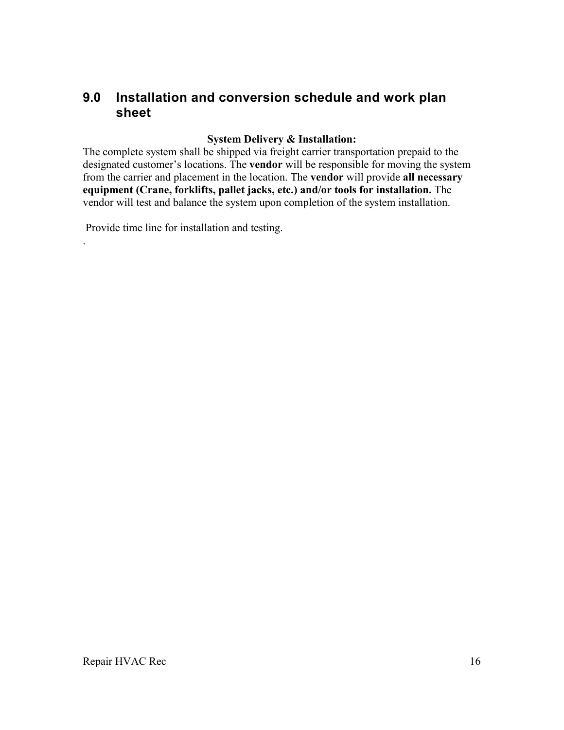## **9.0 Installation and conversion schedule and work plan sheet**

#### **System Delivery & Installation:**

The complete system shall be shipped via freight carrier transportation prepaid to the designated customer's locations. The **vendor** will be responsible for moving the system from the carrier and placement in the location. The **vendor** will provide **all necessary equipment (Crane, forklifts, pallet jacks, etc.) and/or tools for installation.** The vendor will test and balance the system upon completion of the system installation.

Provide time line for installation and testing.

.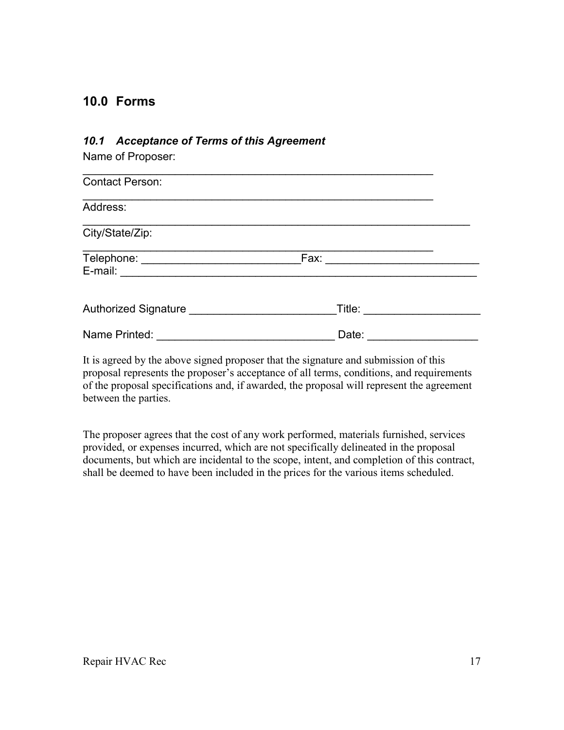## **10.0 Forms**

#### *10.1 Acceptance of Terms of this Agreement*

Name of Proposer:

| <b>Contact Person:</b>  |        |  |  |  |  |
|-------------------------|--------|--|--|--|--|
| Address:                |        |  |  |  |  |
| City/State/Zip:         |        |  |  |  |  |
| Telephone: _<br>E-mail: | Fax:   |  |  |  |  |
| Authorized Signature    | Title: |  |  |  |  |
| Name Printed:           | Date:  |  |  |  |  |

It is agreed by the above signed proposer that the signature and submission of this proposal represents the proposer's acceptance of all terms, conditions, and requirements of the proposal specifications and, if awarded, the proposal will represent the agreement between the parties.

The proposer agrees that the cost of any work performed, materials furnished, services provided, or expenses incurred, which are not specifically delineated in the proposal documents, but which are incidental to the scope, intent, and completion of this contract, shall be deemed to have been included in the prices for the various items scheduled.